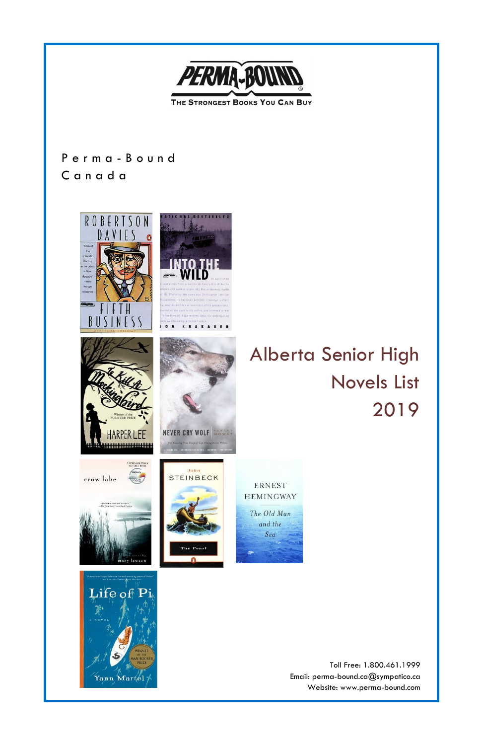

Yann Martel

Toll Free: 1.800.461.1999 Email: perma-bound.ca@sympatico.ca Website: www.perma-bound.com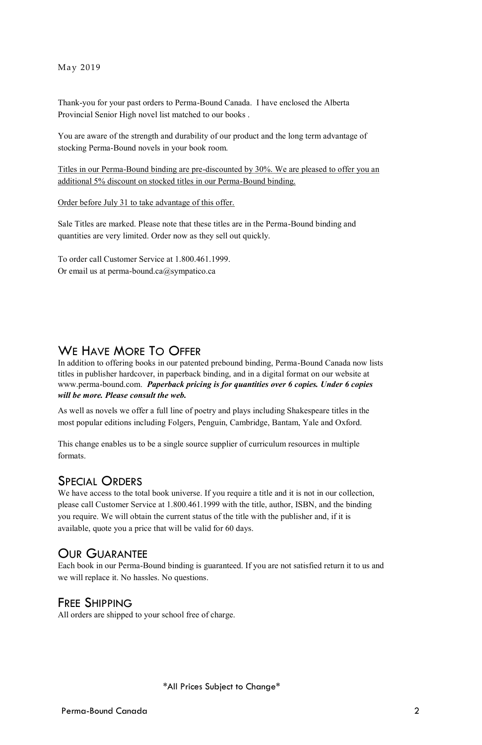#### May 2019

Thank-you for your past orders to Perma-Bound Canada. I have enclosed the Alberta Provincial Senior High novel list matched to our books .

You are aware of the strength and durability of our product and the long term advantage of stocking Perma-Bound novels in your book room.

Titles in our Perma-Bound binding are pre-discounted by 30%. We are pleased to offer you an additional 5% discount on stocked titles in our Perma-Bound binding.

Order before July 31 to take advantage of this offer.

Sale Titles are marked. Please note that these titles are in the Perma-Bound binding and quantities are very limited. Order now as they sell out quickly.

To order call Customer Service at 1.800.461.1999. Or email us at perma-bound.ca@sympatico.ca

# WE HAVE MORE TO OFFER

In addition to offering books in our patented prebound binding, Perma-Bound Canada now lists titles in publisher hardcover, in paperback binding, and in a digital format on our website at www.perma-bound.com. *Paperback pricing is for quantities over 6 copies. Under 6 copies will be more. Please consult the web.*

As well as novels we offer a full line of poetry and plays including Shakespeare titles in the most popular editions including Folgers, Penguin, Cambridge, Bantam, Yale and Oxford.

This change enables us to be a single source supplier of curriculum resources in multiple formats.

## SPECIAL ORDERS

We have access to the total book universe. If you require a title and it is not in our collection, please call Customer Service at 1.800.461.1999 with the title, author, ISBN, and the binding you require. We will obtain the current status of the title with the publisher and, if it is available, quote you a price that will be valid for 60 days.

## OUR GUARANTEE

Each book in our Perma-Bound binding is guaranteed. If you are not satisfied return it to us and we will replace it. No hassles. No questions.

# FREE SHIPPING

All orders are shipped to your school free of charge.

\*All Prices Subject to Change\*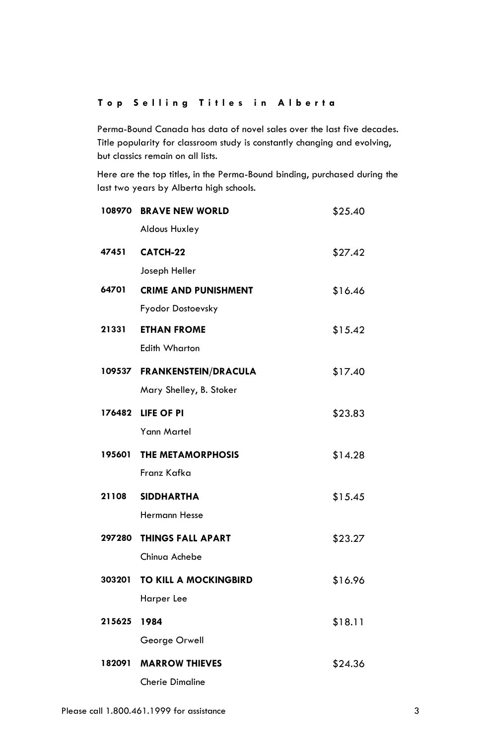## **T o p S e l l i n g T i t l e s i n A l b e r t a**

Perma-Bound Canada has data of novel sales over the last five decades. Title popularity for classroom study is constantly changing and evolving, but classics remain on all lists.

Here are the top titles, in the Perma-Bound binding, purchased during the last two years by Alberta high schools.

| 108970 | <b>BRAVE NEW WORLD</b>       | \$25.40 |
|--------|------------------------------|---------|
|        | <b>Aldous Huxley</b>         |         |
| 47451  | CATCH-22                     | \$27.42 |
|        | Joseph Heller                |         |
| 64701  | <b>CRIME AND PUNISHMENT</b>  | \$16.46 |
|        | Fyodor Dostoevsky            |         |
| 21331  | <b>ETHAN FROME</b>           | \$15.42 |
|        | <b>Edith Wharton</b>         |         |
|        | 109537 FRANKENSTEIN/DRACULA  | \$17.40 |
|        | Mary Shelley, B. Stoker      |         |
|        | 176482 LIFE OF PI            | \$23.83 |
|        | Yann Martel                  |         |
| 195601 | <b>THE METAMORPHOSIS</b>     | \$14.28 |
|        | Franz Kafka                  |         |
| 21108  | <b>SIDDHARTHA</b>            | \$15.45 |
|        | <b>Hermann Hesse</b>         |         |
| 297280 | <b>THINGS FALL APART</b>     | \$23.27 |
|        | Chinua Achebe                |         |
| 303201 | <b>TO KILL A MOCKINGBIRD</b> | \$16.96 |
|        | Harper Lee                   |         |
| 215625 | 1984                         | \$18.11 |
|        | George Orwell                |         |
| 182091 | <b>MARROW THIEVES</b>        | \$24.36 |
|        | <b>Cherie Dimaline</b>       |         |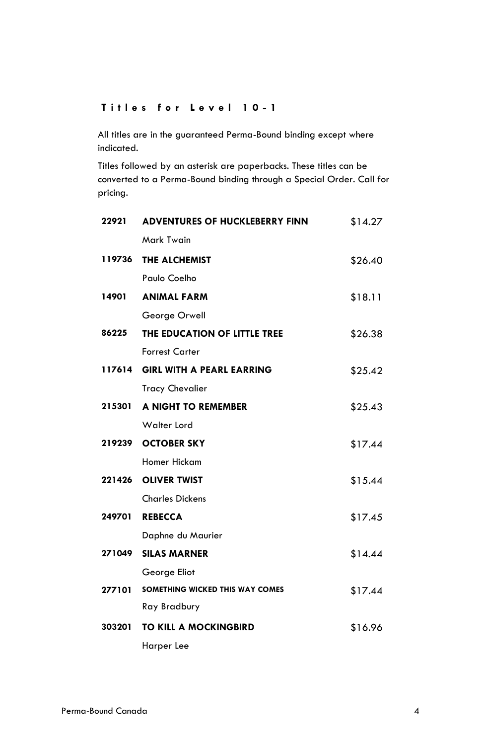## **T i t l e s f o r L e v e l 1 0 - 1**

All titles are in the guaranteed Perma-Bound binding except where indicated.

Titles followed by an asterisk are paperbacks. These titles can be converted to a Perma-Bound binding through a Special Order. Call for pricing.

| 22921  | <b>ADVENTURES OF HUCKLEBERRY FINN</b> | \$14.27 |
|--------|---------------------------------------|---------|
|        | Mark Twain                            |         |
| 119736 | THE ALCHEMIST                         | \$26.40 |
|        | Paulo Coelho                          |         |
| 14901  | <b>ANIMAL FARM</b>                    | \$18.11 |
|        | George Orwell                         |         |
| 86225  | THE EDUCATION OF LITTLE TREE          | \$26.38 |
|        | <b>Forrest Carter</b>                 |         |
| 117614 | <b>GIRL WITH A PEARL EARRING</b>      | \$25.42 |
|        | <b>Tracy Chevalier</b>                |         |
| 215301 | A NIGHT TO REMEMBER                   | \$25.43 |
|        | Walter Lord                           |         |
|        | 219239 OCTOBER SKY                    | \$17.44 |
|        | Homer Hickam                          |         |
|        | 221426 OLIVER TWIST                   | \$15.44 |
|        | <b>Charles Dickens</b>                |         |
| 249701 | <b>REBECCA</b>                        | \$17.45 |
|        | Daphne du Maurier                     |         |
| 271049 | <b>SILAS MARNER</b>                   | \$14.44 |
|        | George Eliot                          |         |
| 277101 | SOMETHING WICKED THIS WAY COMES       | \$17.44 |
|        | Ray Bradbury                          |         |
| 303201 | <b>TO KILL A MOCKINGBIRD</b>          | \$16.96 |
|        | Harper Lee                            |         |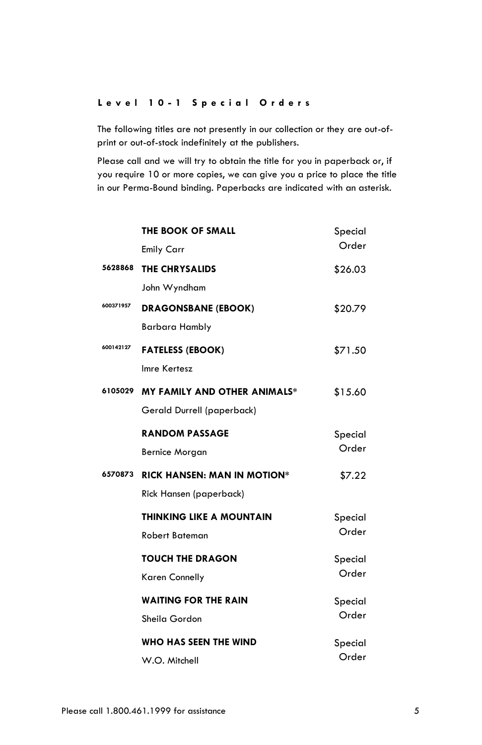#### **L e v e l 1 0 - 1 S p e c i a l O r d e r s**

The following titles are not presently in our collection or they are out-ofprint or out-of-stock indefinitely at the publishers.

Please call and we will try to obtain the title for you in paperback or, if you require 10 or more copies, we can give you a price to place the title in our Perma-Bound binding. Paperbacks are indicated with an asterisk.

|           | THE BOOK OF SMALL                   | Special |
|-----------|-------------------------------------|---------|
|           | <b>Emily Carr</b>                   | Order   |
| 5628868   | THE CHRYSALIDS                      | \$26.03 |
|           | John Wyndham                        |         |
| 600371957 | <b>DRAGONSBANE (EBOOK)</b>          | \$20.79 |
|           | <b>Barbara Hambly</b>               |         |
| 600142127 | <b>FATELESS (EBOOK)</b>             | \$71.50 |
|           | Imre Kertesz                        |         |
| 6105029   | <b>MY FAMILY AND OTHER ANIMALS*</b> | \$15.60 |
|           | Gerald Durrell (paperback)          |         |
|           | <b>RANDOM PASSAGE</b>               | Special |
|           | <b>Bernice Morgan</b>               | Order   |
| 6570873   | <b>RICK HANSEN: MAN IN MOTION*</b>  | \$7.22  |
|           | Rick Hansen (paperback)             |         |
|           | <b>THINKING LIKE A MOUNTAIN</b>     | Special |
|           | <b>Robert Bateman</b>               | Order   |
|           | <b>TOUCH THE DRAGON</b>             | Special |
|           | Karen Connelly                      | Order   |
|           | <b>WAITING FOR THE RAIN</b>         | Special |
|           | Sheila Gordon                       | Order   |
|           | WHO HAS SEEN THE WIND               | Special |
|           | W.O. Mitchell                       | Order   |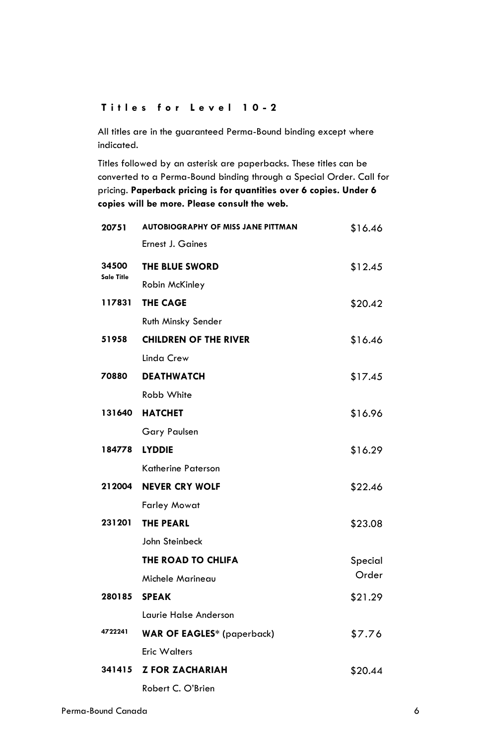## **T i t l e s f o r L e v e l 1 0 - 2**

All titles are in the guaranteed Perma-Bound binding except where indicated.

| 20751               | <b>AUTOBIOGRAPHY OF MISS JANE PITTMAN</b> | \$16.46 |
|---------------------|-------------------------------------------|---------|
|                     | <b>Ernest J. Gaines</b>                   |         |
| 34500<br>Sale Title | THE BLUE SWORD                            | \$12.45 |
|                     | Robin McKinley                            |         |
| 117831              | <b>THE CAGE</b>                           | \$20.42 |
|                     | Ruth Minsky Sender                        |         |
| 51958               | <b>CHILDREN OF THE RIVER</b>              | \$16.46 |
|                     | Linda Crew                                |         |
| 70880               | <b>DEATHWATCH</b>                         | \$17.45 |
|                     | Robb White                                |         |
|                     | <b>131640 HATCHET</b>                     | \$16.96 |
|                     | <b>Gary Paulsen</b>                       |         |
| 184778              | <b>LYDDIE</b>                             | \$16.29 |
|                     | <b>Katherine Paterson</b>                 |         |
|                     | 212004 NEVER CRY WOLF                     | \$22.46 |
|                     | <b>Farley Mowat</b>                       |         |
| 231201              | <b>THE PEARL</b>                          | \$23.08 |
|                     | John Steinbeck                            |         |
|                     | THE ROAD TO CHLIFA                        | Special |
|                     | Michele Marineau                          | Order   |
| 280185              | <b>SPEAK</b>                              | \$21.29 |
|                     | Laurie Halse Anderson                     |         |
| 4722241             | <b>WAR OF EAGLES*</b> (paperback)         | \$7.76  |
|                     | <b>Eric Walters</b>                       |         |
|                     | 341415 Z FOR ZACHARIAH                    | \$20.44 |
|                     | Robert C. O'Brien                         |         |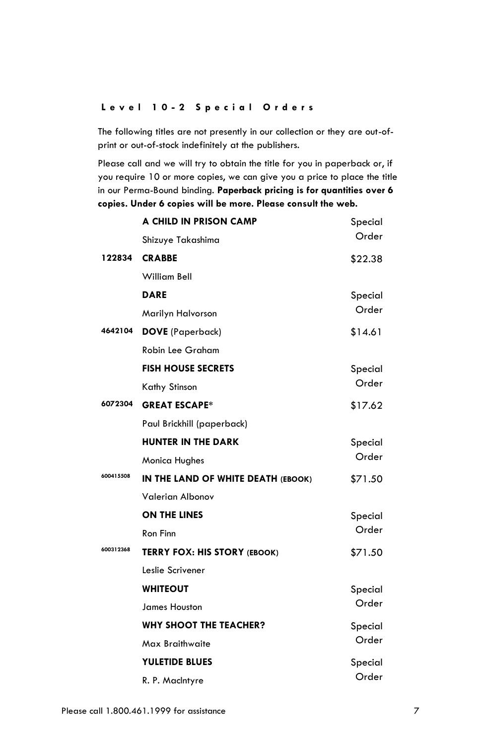#### **L e v e l 1 0 - 2 S p e c i a l O r d e r s**

The following titles are not presently in our collection or they are out-ofprint or out-of-stock indefinitely at the publishers.

Please call and we will try to obtain the title for you in paperback or, if you require 10 or more copies, we can give you a price to place the title in our Perma-Bound binding. **Paperback pricing is for quantities over 6 copies. Under 6 copies will be more. Please consult the web.**

|           | A CHILD IN PRISON CAMP              | Special |
|-----------|-------------------------------------|---------|
|           | Shizuye Takashima                   | Order   |
| 122834    | <b>CRABBE</b>                       | \$22.38 |
|           | William Bell                        |         |
|           | <b>DARE</b>                         | Special |
|           | Marilyn Halvorson                   | Order   |
| 4642104   | <b>DOVE</b> (Paperback)             | \$14.61 |
|           | <b>Robin Lee Graham</b>             |         |
|           | <b>FISH HOUSE SECRETS</b>           | Special |
|           | Kathy Stinson                       | Order   |
| 6072304   | <b>GREAT ESCAPE*</b>                | \$17.62 |
|           | Paul Brickhill (paperback)          |         |
|           | <b>HUNTER IN THE DARK</b>           | Special |
|           | <b>Monica Hughes</b>                | Order   |
| 600415508 | IN THE LAND OF WHITE DEATH (EBOOK)  | \$71.50 |
|           | <b>Valerian Albonov</b>             |         |
|           | ON THE LINES                        | Special |
|           | Ron Finn                            | Order   |
| 600312368 | <b>TERRY FOX: HIS STORY (EBOOK)</b> | \$71.50 |
|           | Leslie Scrivener                    |         |
|           | <b>WHITEOUT</b>                     | Special |
|           | <b>James Houston</b>                | Order   |
|           | <b>WHY SHOOT THE TEACHER?</b>       | Special |
|           | Max Braithwaite                     | Order   |
|           | <b>YULETIDE BLUES</b>               | Special |
|           | R. P. MacIntyre                     | Order   |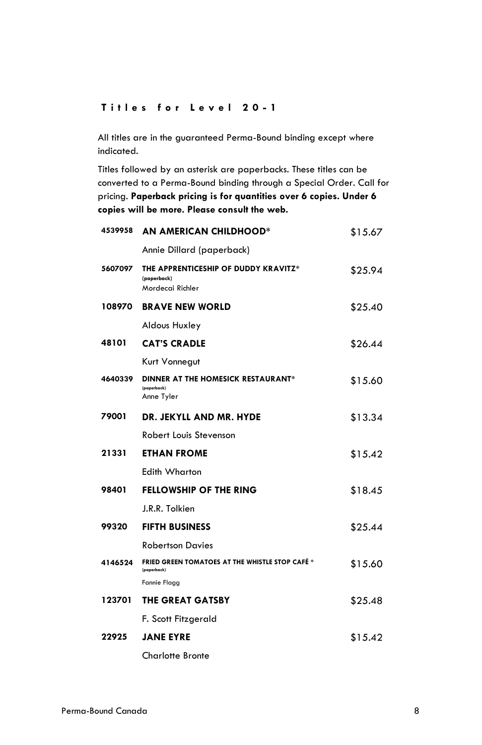#### **T i t l e s f o r L e v e l 2 0 - 1**

All titles are in the guaranteed Perma-Bound binding except where indicated.

| 4539958 | <b>AN AMERICAN CHILDHOOD*</b>                                           | \$15.67 |
|---------|-------------------------------------------------------------------------|---------|
|         | Annie Dillard (paperback)                                               |         |
| 5607097 | THE APPRENTICESHIP OF DUDDY KRAVITZ*<br>(paperback)<br>Mordecai Richler | \$25.94 |
| 108970  | <b>BRAVE NEW WORLD</b>                                                  | \$25.40 |
|         | Aldous Huxley                                                           |         |
| 48101   | <b>CAT'S CRADLE</b>                                                     | \$26.44 |
|         | Kurt Vonnegut                                                           |         |
| 4640339 | DINNER AT THE HOMESICK RESTAURANT*<br>(paperback)<br>Anne Tyler         | \$15.60 |
| 79001   | DR. JEKYLL AND MR. HYDE                                                 | \$13.34 |
|         | Robert Louis Stevenson                                                  |         |
| 21331   | <b>ETHAN FROME</b>                                                      | \$15.42 |
|         | Edith Wharton                                                           |         |
| 98401   | <b>FELLOWSHIP OF THE RING</b>                                           | \$18.45 |
|         | J.R.R. Tolkien                                                          |         |
| 99320   | <b>FIFTH BUSINESS</b>                                                   | \$25.44 |
|         | <b>Robertson Davies</b>                                                 |         |
| 4146524 | <b>FRIED GREEN TOMATOES AT THE WHISTLE STOP CAFÉ *</b><br>(paperback)   | \$15.60 |
|         | <b>Fannie Flagg</b>                                                     |         |
| 123701  | <b>THE GREAT GATSBY</b>                                                 | \$25.48 |
|         | F. Scott Fitzgerald                                                     |         |
| 22925   | <b>JANE EYRE</b>                                                        | \$15.42 |
|         | <b>Charlotte Bronte</b>                                                 |         |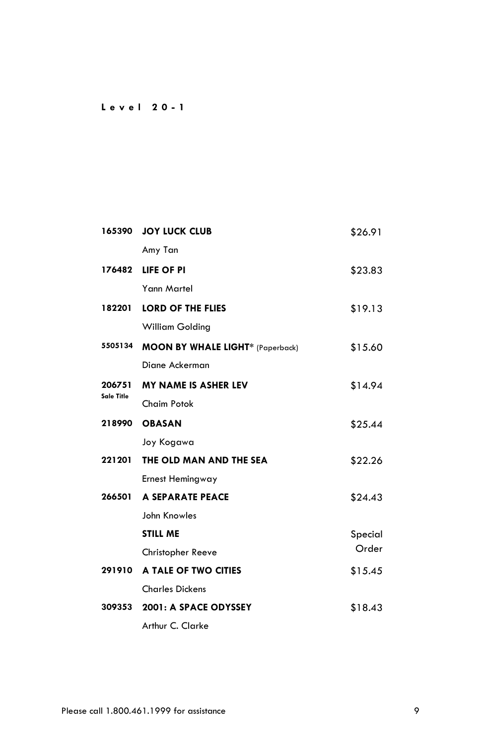## **L e v e l 2 0 - 1**

| 165390            | <b>JOY LUCK CLUB</b>                    | \$26.91 |
|-------------------|-----------------------------------------|---------|
|                   | Amy Tan                                 |         |
| 176482            | LIFE OF PI                              | \$23.83 |
|                   | Yann Martel                             |         |
| 182201            | <b>LORD OF THE FLIES</b>                | \$19.13 |
|                   | William Golding                         |         |
| 5505134           | <b>MOON BY WHALE LIGHT*</b> (Paperback) | \$15.60 |
|                   | Diane Ackerman                          |         |
| 206751            | <b>MY NAME IS ASHER LEV</b>             | \$14.94 |
| <b>Sale Title</b> | Chaim Potok                             |         |
| 218990            | <b>OBASAN</b>                           | \$25.44 |
|                   | Joy Kogawa                              |         |
| 221201            | THE OLD MAN AND THE SEA                 | \$22.26 |
|                   | Ernest Hemingway                        |         |
| 266501            | A SEPARATE PEACE                        | \$24.43 |
|                   | John Knowles                            |         |
|                   | <b>STILL ME</b>                         | Special |
|                   | Christopher Reeve                       | Order   |
| 291910            | A TALE OF TWO CITIES                    | \$15.45 |
|                   | <b>Charles Dickens</b>                  |         |
| 309353            | 2001: A SPACE ODYSSEY                   | \$18.43 |
|                   | Arthur C. Clarke                        |         |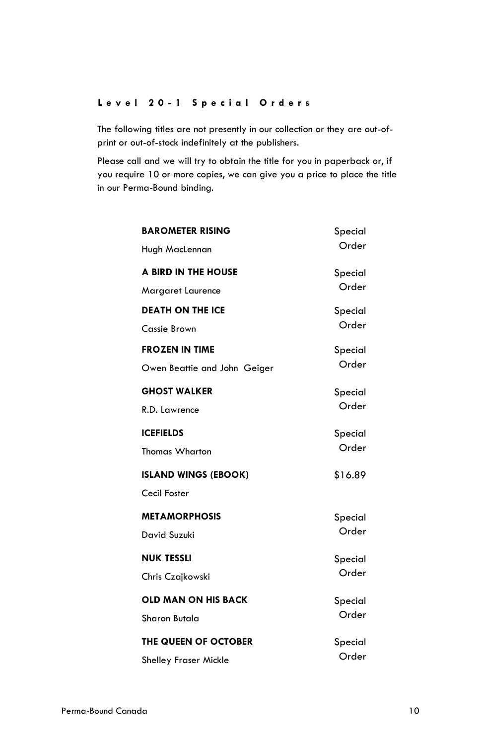#### **L e v e l 2 0 - 1 S p e c i a l O r d e r s**

The following titles are not presently in our collection or they are out-ofprint or out-of-stock indefinitely at the publishers.

Please call and we will try to obtain the title for you in paperback or, if you require 10 or more copies, we can give you a price to place the title in our Perma-Bound binding.

| <b>BAROMETER RISING</b><br>Hugh MacLennan | Special<br>Order |
|-------------------------------------------|------------------|
| A BIRD IN THE HOUSE                       | Special          |
| Margaret Laurence                         | Order            |
| <b>DEATH ON THE ICE</b>                   | Special          |
| Cassie Brown                              | Order            |
| <b>FROZEN IN TIME</b>                     | Special          |
| Owen Beattie and John Geiger              | Order            |
| <b>GHOST WALKER</b>                       | Special          |
| R.D. Lawrence                             | Order            |
| <b>ICEFIELDS</b>                          | Special          |
| <b>Thomas Wharton</b>                     | Order            |
| <b>ISLAND WINGS (EBOOK)</b>               | \$16.89          |
| Cecil Foster                              |                  |
| <b>METAMORPHOSIS</b>                      | Special          |
| David Suzuki                              | Order            |
| <b>NUK TESSLI</b>                         | Special          |
| Chris Czajkowski                          | Order            |
| <b>OLD MAN ON HIS BACK</b>                | Special          |
| Sharon Butala                             | Order            |
| THE QUEEN OF OCTOBER                      | Special          |
| <b>Shelley Fraser Mickle</b>              | Order            |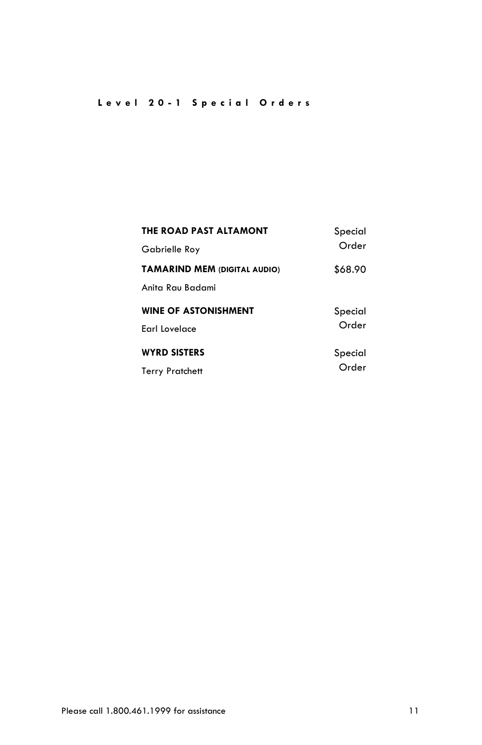# **L e v e l 2 0 - 1 S p e c i a l O r d e r s**

| THE ROAD PAST ALTAMONT<br>Gabrielle Roy | Special<br>Order |
|-----------------------------------------|------------------|
| <b>TAMARIND MEM (DIGITAL AUDIO)</b>     | \$68.90          |
| Anita Ray Badami                        |                  |
| <b>WINE OF ASTONISHMENT</b>             | Special          |
| <b>Farl Lovelace</b>                    | Order            |
| <b>WYRD SISTERS</b>                     | Special          |
| <b>Terry Pratchett</b>                  | Order            |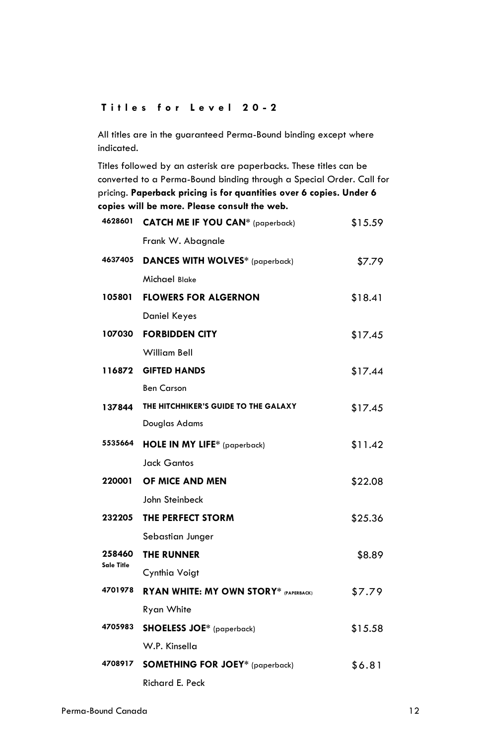# **T i t l e s f o r L e v e l 2 0 - 2**

All titles are in the guaranteed Perma-Bound binding except where indicated.

| 4628601              | <b>CATCH ME IF YOU CAN*</b> (paperback)      | \$15.59 |
|----------------------|----------------------------------------------|---------|
|                      | Frank W. Abagnale                            |         |
| 4637405              | <b>DANCES WITH WOLVES*</b> (paperback)       | \$7.79  |
|                      | Michael Blake                                |         |
| 105801               | <b>FLOWERS FOR ALGERNON</b>                  | \$18.41 |
|                      | Daniel Keyes                                 |         |
| 107030               | <b>FORBIDDEN CITY</b>                        | \$17.45 |
|                      | William Bell                                 |         |
| 116872               | <b>GIFTED HANDS</b>                          | \$17.44 |
|                      | <b>Ben Carson</b>                            |         |
| 137844               | THE HITCHHIKER'S GUIDE TO THE GALAXY         | \$17.45 |
|                      | Douglas Adams                                |         |
| 5535664              | HOLE IN MY LIFE* (paperback)                 | \$11.42 |
|                      | <b>Jack Gantos</b>                           |         |
| 220001               | OF MICE AND MEN                              | \$22.08 |
|                      | John Steinbeck                               |         |
| 232205               | THE PERFECT STORM                            | \$25.36 |
|                      | Sebastian Junger                             |         |
| 258460<br>Sale Title | <b>THE RUNNER</b>                            | \$8.89  |
|                      | Cynthia Voigt                                |         |
| 4701978              | <b>RYAN WHITE: MY OWN STORY* (PAPERBACK)</b> | \$7.79  |
|                      | Ryan White                                   |         |
| 4705983              | <b>SHOELESS JOE*</b> (paperback)             | \$15.58 |
|                      | W.P. Kinsella                                |         |
| 4708917              | <b>SOMETHING FOR JOEY*</b> (paperback)       | \$6.81  |
|                      | Richard E. Peck                              |         |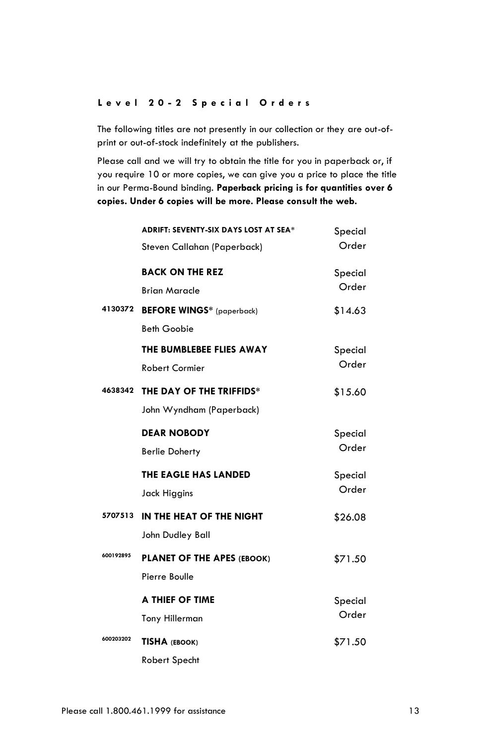#### **L e v e l 2 0 - 2 S p e c i a l O r d e r s**

The following titles are not presently in our collection or they are out-ofprint or out-of-stock indefinitely at the publishers.

Please call and we will try to obtain the title for you in paperback or, if you require 10 or more copies, we can give you a price to place the title in our Perma-Bound binding. **Paperback pricing is for quantities over 6 copies. Under 6 copies will be more. Please consult the web.**

|           | <b>ADRIFT: SEVENTY-SIX DAYS LOST AT SEA*</b><br>Steven Callahan (Paperback) | Special<br>Order |
|-----------|-----------------------------------------------------------------------------|------------------|
|           | <b>BACK ON THE REZ</b><br><b>Brian Maracle</b>                              | Special<br>Order |
| 4130372   | <b>BEFORE WINGS*</b> (paperback)<br><b>Beth Goobie</b>                      | \$14.63          |
|           | THE BUMBLEBEE FLIES AWAY<br><b>Robert Cormier</b>                           | Special<br>Order |
| 4638342   | THE DAY OF THE TRIFFIDS*<br>John Wyndham (Paperback)                        | \$15.60          |
|           | <b>DEAR NOBODY</b><br><b>Berlie Doherty</b>                                 | Special<br>Order |
|           | THE EAGLE HAS LANDED<br>Jack Higgins                                        | Special<br>Order |
| 5707513   | IN THE HEAT OF THE NIGHT<br>John Dudley Ball                                | \$26.08          |
| 600192895 | PLANET OF THE APES (EBOOK)<br>Pierre Boulle                                 | \$71.50          |
|           | A THIEF OF TIME<br><b>Tony Hillerman</b>                                    | Special<br>Order |
| 600203202 | TISHA (EBOOK)<br><b>Robert Specht</b>                                       | \$71.50          |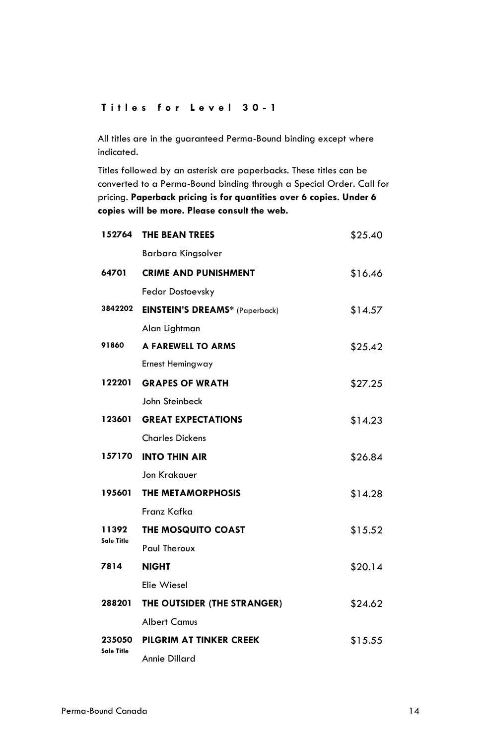# **T i t l e s f o r L e v e l 3 0 - 1**

All titles are in the guaranteed Perma-Bound binding except where indicated.

|                             | 152764 THE BEAN TREES          | \$25.40 |
|-----------------------------|--------------------------------|---------|
|                             | Barbara Kingsolver             |         |
| 64701                       | <b>CRIME AND PUNISHMENT</b>    | \$16.46 |
|                             | <b>Fedor Dostoevsky</b>        |         |
| 3842202                     | EINSTEIN'S DREAMS* (Paperback) | \$14.57 |
|                             | Alan Lightman                  |         |
| 91860                       | A FAREWELL TO ARMS             | \$25.42 |
|                             | Ernest Hemingway               |         |
| 122201                      | <b>GRAPES OF WRATH</b>         | \$27.25 |
|                             | John Steinbeck                 |         |
|                             | 123601 GREAT EXPECTATIONS      | \$14.23 |
|                             | <b>Charles Dickens</b>         |         |
| 157170                      | <b>INTO THIN AIR</b>           | \$26.84 |
|                             | Jon Krakauer                   |         |
| 195601                      | <b>THE METAMORPHOSIS</b>       | \$14.28 |
|                             | Franz Kafka                    |         |
| 11392                       | THE MOSQUITO COAST             | \$15.52 |
| Sale Title                  | <b>Paul Theroux</b>            |         |
| 7814                        | <b>NIGHT</b>                   | \$20.14 |
|                             | Elie Wiesel                    |         |
| 288201                      | THE OUTSIDER (THE STRANGER)    | \$24.62 |
|                             | <b>Albert Camus</b>            |         |
| 235050<br><b>Sale Title</b> | PILGRIM AT TINKER CREEK        | \$15.55 |
|                             | Annie Dillard                  |         |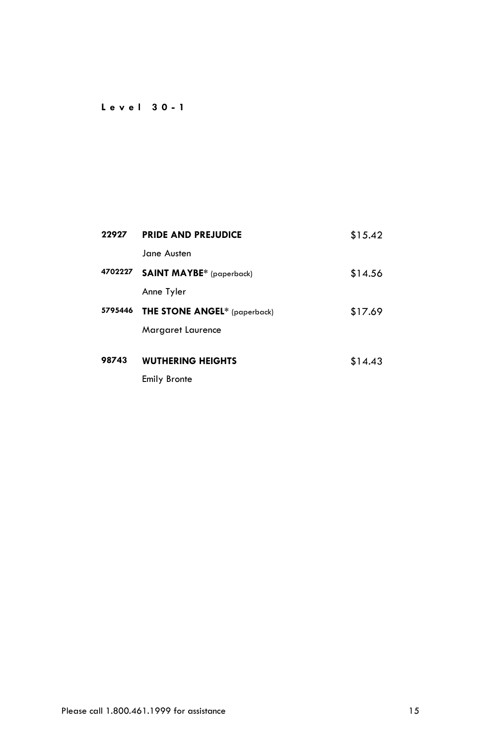## **L e v e l 3 0 - 1**

| 22927   | <b>PRIDE AND PREJUDICE</b>          | \$15.42 |
|---------|-------------------------------------|---------|
|         | Jane Austen                         |         |
| 4702227 | <b>SAINT MAYBE*</b> (paperback)     | \$14.56 |
|         | Anne Tyler                          |         |
| 5795446 | <b>THE STONE ANGEL*</b> (paperback) | \$17.69 |
|         | Margaret Laurence                   |         |
|         |                                     |         |
| 98743   | <b>WUTHERING HEIGHTS</b>            | \$14.43 |
|         | <b>Emily Bronte</b>                 |         |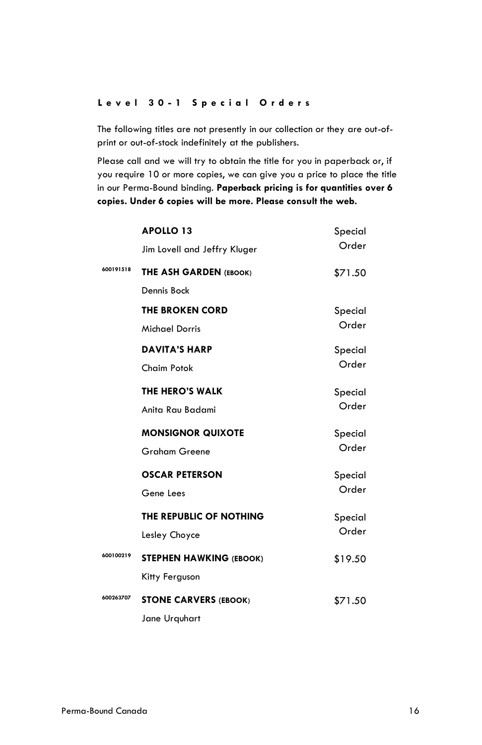#### **L e v e l 3 0 - 1 S p e c i a l O r d e r s**

The following titles are not presently in our collection or they are out-ofprint or out-of-stock indefinitely at the publishers.

Please call and we will try to obtain the title for you in paperback or, if you require 10 or more copies, we can give you a price to place the title in our Perma-Bound binding. **Paperback pricing is for quantities over 6 copies. Under 6 copies will be more. Please consult the web.**

|           | <b>APOLLO 13</b>               | Special |
|-----------|--------------------------------|---------|
|           | Jim Lovell and Jeffry Kluger   | Order   |
| 600191518 | THE ASH GARDEN (EBOOK)         | \$71.50 |
|           | Dennis Bock                    |         |
|           | <b>THE BROKEN CORD</b>         | Special |
|           | <b>Michael Dorris</b>          | Order   |
|           | <b>DAVITA'S HARP</b>           | Special |
|           | <b>Chaim Potok</b>             | Order   |
|           | <b>THE HERO'S WALK</b>         | Special |
|           | Anita Rau Badami               | Order   |
|           | <b>MONSIGNOR QUIXOTE</b>       | Special |
|           | <b>Graham Greene</b>           | Order   |
|           | <b>OSCAR PETERSON</b>          | Special |
|           | Gene Lees                      | Order   |
|           | THE REPUBLIC OF NOTHING        | Special |
|           | Lesley Choyce                  | Order   |
| 600100219 | <b>STEPHEN HAWKING (EBOOK)</b> | \$19.50 |
|           | Kitty Ferguson                 |         |
| 600263707 | <b>STONE CARVERS (EBOOK)</b>   | \$71.50 |
|           | Jane Urguhart                  |         |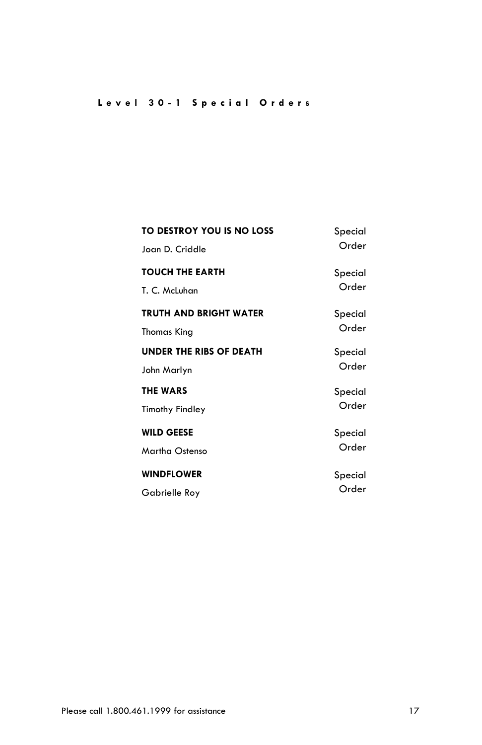# **L e v e l 3 0 - 1 S p e c i a l O r d e r s**

| TO DESTROY YOU IS NO LOSS      | Special |
|--------------------------------|---------|
| Joan D. Criddle                | Order   |
| <b>TOUCH THE EARTH</b>         | Special |
| T. C. McLuhan                  | Order   |
| TRUTH AND BRIGHT WATER         | Special |
| <b>Thomas King</b>             | Order   |
| <b>UNDER THE RIBS OF DEATH</b> | Special |
| John Marlyn                    | Order   |
| <b>THE WARS</b>                | Special |
| <b>Timothy Findley</b>         | Order   |
| <b>WILD GEESE</b>              | Special |
| Martha Ostenso                 | Order   |
| <b>WINDFLOWER</b>              | Special |
| Gabrielle Roy                  | Order   |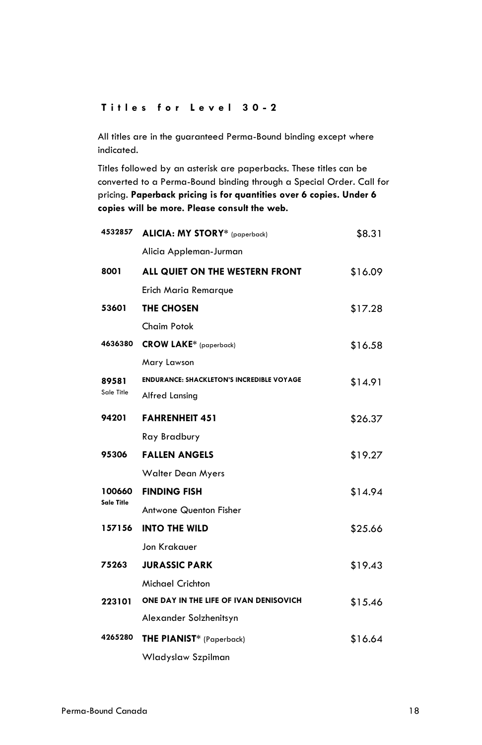#### **T i t l e s f o r L e v e l 3 0 - 2**

All titles are in the guaranteed Perma-Bound binding except where indicated.

| 4532857    | ALICIA: MY STORY* (paperback)                    | \$8.31  |
|------------|--------------------------------------------------|---------|
|            | Alicia Appleman-Jurman                           |         |
| 8001       | ALL QUIET ON THE WESTERN FRONT                   | \$16.09 |
|            | Erich Maria Remarque                             |         |
| 53601      | THE CHOSEN                                       | \$17.28 |
|            | Chaim Potok                                      |         |
| 4636380    | <b>CROW LAKE*</b> (paperback)                    | \$16.58 |
|            | Mary Lawson                                      |         |
| 89581      | <b>ENDURANCE: SHACKLETON'S INCREDIBLE VOYAGE</b> | \$14.91 |
| Sale Title | Alfred Lansing                                   |         |
| 94201      | <b>FAHRENHEIT 451</b>                            | \$26.37 |
|            | Ray Bradbury                                     |         |
| 95306      | <b>FALLEN ANGELS</b>                             | \$19.27 |
|            | <b>Walter Dean Myers</b>                         |         |
| 100660     | <b>FINDING FISH</b>                              | \$14.94 |
| Sale Title | <b>Antwone Quenton Fisher</b>                    |         |
| 157156     | <b>INTO THE WILD</b>                             | \$25.66 |
|            | Jon Krakauer                                     |         |
| 75263      | <b>JURASSIC PARK</b>                             | \$19.43 |
|            | Michael Crichton                                 |         |
| 223101     | ONE DAY IN THE LIFE OF IVAN DENISOVICH           | \$15.46 |
|            | Alexander Solzhenitsyn                           |         |
| 4265280    | <b>THE PIANIST*</b> (Paperback)                  | \$16.64 |
|            | Wladyslaw Szpilman                               |         |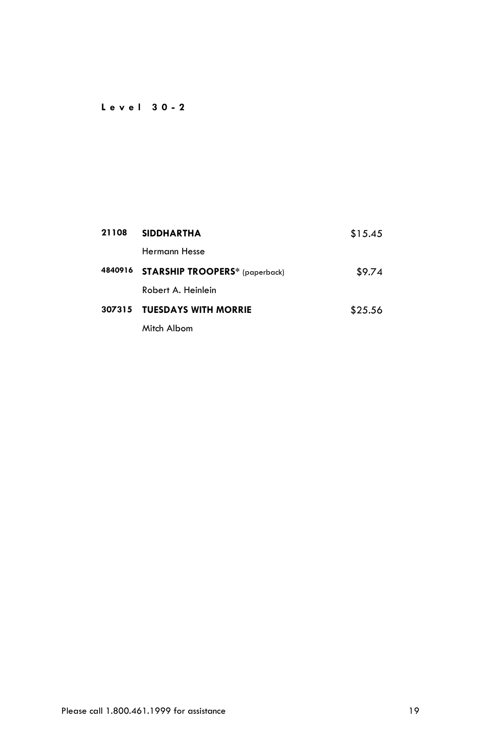## **L e v e l 3 0 - 2**

| 21108   | <b>SIDDHARTHA</b>                     | \$15.45 |
|---------|---------------------------------------|---------|
|         | Hermann Hesse                         |         |
| 4840916 | <b>STARSHIP TROOPERS*</b> (paperback) | \$9.74  |
|         | Robert A. Heinlein                    |         |
| 307315  | <b>TUESDAYS WITH MORRIE</b>           | \$25.56 |
|         | Mitch Albom                           |         |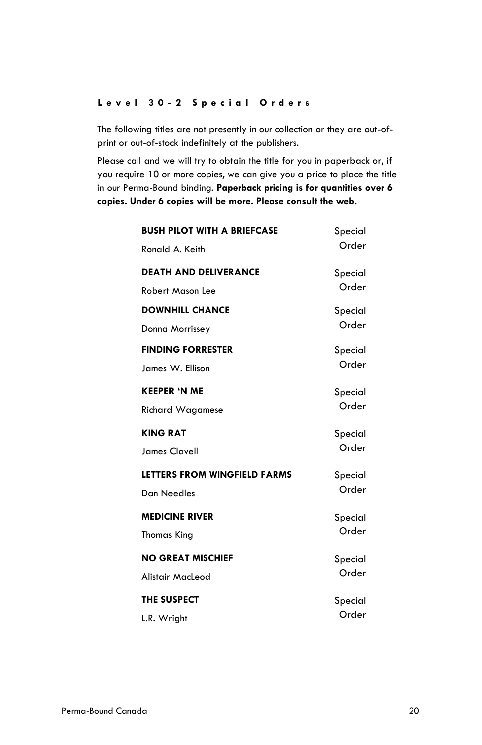#### **L e v e l 3 0 - 2 S p e c i a l O r d e r s**

The following titles are not presently in our collection or they are out-ofprint or out-of-stock indefinitely at the publishers.

Please call and we will try to obtain the title for you in paperback or, if you require 10 or more copies, we can give you a price to place the title in our Perma-Bound binding. **Paperback pricing is for quantities over 6 copies. Under 6 copies will be more. Please consult the web.**

| <b>BUSH PILOT WITH A BRIEFCASE</b><br>Ronald A. Keith | Special<br>Order |
|-------------------------------------------------------|------------------|
| <b>DEATH AND DELIVERANCE</b>                          | Special          |
| <b>Robert Mason Lee</b>                               | Order            |
| <b>DOWNHILL CHANCE</b>                                | Special          |
| Donna Morrissey                                       | Order            |
| <b>FINDING FORRESTER</b>                              | Special          |
| James W. Ellison                                      | Order            |
| <b>KEEPER 'N ME</b>                                   | Special          |
| <b>Richard Wagamese</b>                               | Order            |
| <b>KING RAT</b>                                       | Special          |
| <b>James Clavell</b>                                  | Order            |
| LETTERS FROM WINGFIELD FARMS                          | Special          |
| <b>Dan Needles</b>                                    | Order            |
| <b>MEDICINE RIVER</b>                                 | Special          |
| Thomas King                                           | Order            |
| <b>NO GREAT MISCHIEF</b>                              | Special          |
| Alistair MacLeod                                      | Order            |
| <b>THE SUSPECT</b>                                    | Special          |
| L.R. Wright                                           | Order            |